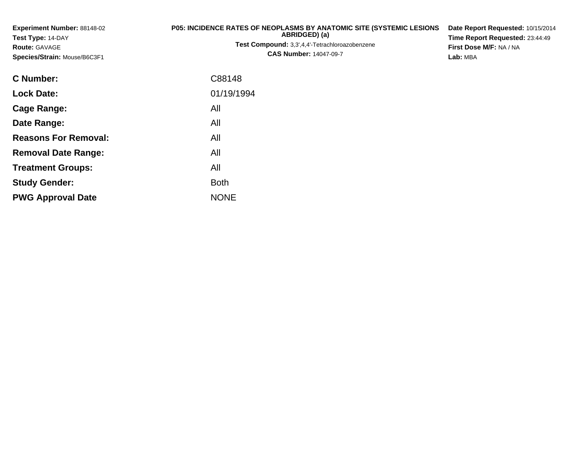| Experiment Number: 88148-02<br>Test Type: 14-DAY | P05: INCIDENCE RATES OF NEOPLASMS BY ANATOMIC SITE (SYSTEMIC LESIONS<br>ABRIDGED) (a) | Date Report Requested: 10/15/2014<br>Time Report Requested: 23:44:49<br>First Dose M/F: NA / NA |  |  |
|--------------------------------------------------|---------------------------------------------------------------------------------------|-------------------------------------------------------------------------------------------------|--|--|
| <b>Route: GAVAGE</b>                             | Test Compound: 3,3',4,4'-Tetrachloroazobenzene                                        |                                                                                                 |  |  |
| Species/Strain: Mouse/B6C3F1                     | <b>CAS Number: 14047-09-7</b>                                                         | Lab: MBA                                                                                        |  |  |
| <b>C</b> Number:                                 | C88148                                                                                |                                                                                                 |  |  |
| <b>Lock Date:</b>                                | 01/19/1994                                                                            |                                                                                                 |  |  |
| <b>Cage Range:</b>                               | All                                                                                   |                                                                                                 |  |  |
| Date Range:                                      | All                                                                                   |                                                                                                 |  |  |
| <b>Reasons For Removal:</b>                      | All                                                                                   |                                                                                                 |  |  |
| <b>Removal Date Range:</b>                       | All                                                                                   |                                                                                                 |  |  |
| <b>Treatment Groups:</b>                         | All                                                                                   |                                                                                                 |  |  |
| <b>Study Gender:</b>                             | <b>Both</b>                                                                           |                                                                                                 |  |  |

e NONE

**PWG Approval Date**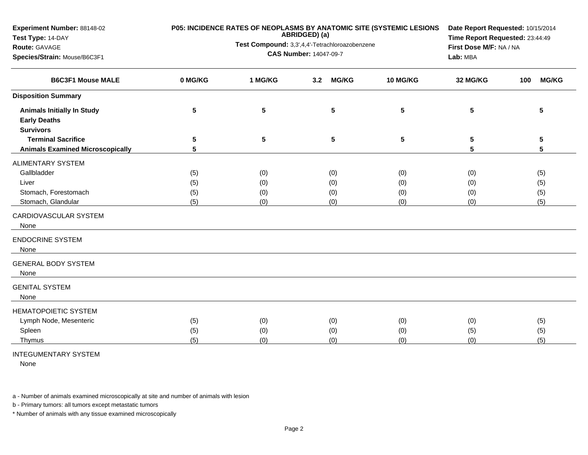|         | Date Report Requested: 10/15/2014 |                     |                                                |                                                                                                                        |                                                                        |  |  |
|---------|-----------------------------------|---------------------|------------------------------------------------|------------------------------------------------------------------------------------------------------------------------|------------------------------------------------------------------------|--|--|
|         |                                   |                     |                                                |                                                                                                                        |                                                                        |  |  |
|         |                                   |                     |                                                |                                                                                                                        |                                                                        |  |  |
|         |                                   |                     |                                                |                                                                                                                        |                                                                        |  |  |
| 0 MG/KG | 1 MG/KG                           | <b>MG/KG</b><br>3.2 | <b>10 MG/KG</b>                                | 32 MG/KG                                                                                                               | <b>MG/KG</b><br>100                                                    |  |  |
|         |                                   |                     |                                                |                                                                                                                        |                                                                        |  |  |
| 5       | $5\phantom{.0}$                   | ${\bf 5}$           | $5\phantom{.0}$                                | 5                                                                                                                      | 5                                                                      |  |  |
|         |                                   |                     |                                                |                                                                                                                        |                                                                        |  |  |
| 5       | 5                                 | 5                   | ${\bf 5}$                                      | 5                                                                                                                      | 5                                                                      |  |  |
| 5       |                                   |                     |                                                | 5                                                                                                                      | 5                                                                      |  |  |
|         |                                   |                     |                                                |                                                                                                                        |                                                                        |  |  |
| (5)     | (0)                               | (0)                 | (0)                                            | (0)                                                                                                                    | (5)                                                                    |  |  |
| (5)     | (0)                               | (0)                 | (0)                                            | (0)                                                                                                                    | (5)                                                                    |  |  |
| (5)     | (0)                               | (0)                 | (0)                                            | (0)                                                                                                                    | (5)                                                                    |  |  |
| (5)     | (0)                               | (0)                 | (0)                                            | (0)                                                                                                                    | (5)                                                                    |  |  |
|         |                                   |                     |                                                |                                                                                                                        |                                                                        |  |  |
|         |                                   |                     |                                                |                                                                                                                        |                                                                        |  |  |
|         |                                   |                     |                                                |                                                                                                                        |                                                                        |  |  |
|         |                                   |                     |                                                |                                                                                                                        |                                                                        |  |  |
|         |                                   |                     |                                                |                                                                                                                        |                                                                        |  |  |
| (5)     | (0)                               | (0)                 | (0)                                            | (0)                                                                                                                    | (5)                                                                    |  |  |
| (5)     | (0)                               | (0)                 | (0)                                            | (5)                                                                                                                    | (5)                                                                    |  |  |
| (5)     | (0)                               | (0)                 | (0)                                            | (0)                                                                                                                    | (5)                                                                    |  |  |
|         |                                   |                     | ABRIDGED) (a)<br><b>CAS Number: 14047-09-7</b> | P05: INCIDENCE RATES OF NEOPLASMS BY ANATOMIC SITE (SYSTEMIC LESIONS<br>Test Compound: 3,3',4,4'-Tetrachloroazobenzene | Time Report Requested: 23:44:49<br>First Dose M/F: NA / NA<br>Lab: MBA |  |  |

## INTEGUMENTARY SYSTEM

None

a - Number of animals examined microscopically at site and number of animals with lesion

b - Primary tumors: all tumors except metastatic tumors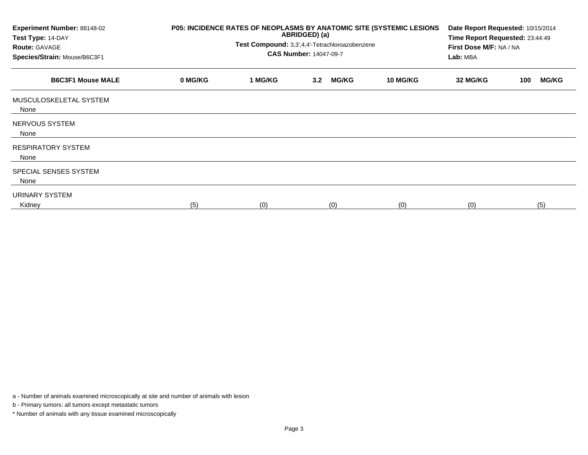| Experiment Number: 88148-02<br>Test Type: 14-DAY<br><b>Route: GAVAGE</b><br>Species/Strain: Mouse/B6C3F1 | P05: INCIDENCE RATES OF NEOPLASMS BY ANATOMIC SITE (SYSTEMIC LESIONS<br>ABRIDGED) (a)<br>Test Compound: 3,3',4,4'-Tetrachloroazobenzene<br><b>CAS Number: 14047-09-7</b> |         |                     |                 |          | Date Report Requested: 10/15/2014<br>Time Report Requested: 23:44:49<br>First Dose M/F: NA / NA<br>Lab: MBA |  |  |
|----------------------------------------------------------------------------------------------------------|--------------------------------------------------------------------------------------------------------------------------------------------------------------------------|---------|---------------------|-----------------|----------|-------------------------------------------------------------------------------------------------------------|--|--|
| <b>B6C3F1 Mouse MALE</b>                                                                                 | 0 MG/KG                                                                                                                                                                  | 1 MG/KG | <b>MG/KG</b><br>3.2 | <b>10 MG/KG</b> | 32 MG/KG | <b>MG/KG</b><br>100                                                                                         |  |  |
| MUSCULOSKELETAL SYSTEM<br>None                                                                           |                                                                                                                                                                          |         |                     |                 |          |                                                                                                             |  |  |
| NERVOUS SYSTEM<br>None                                                                                   |                                                                                                                                                                          |         |                     |                 |          |                                                                                                             |  |  |
| <b>RESPIRATORY SYSTEM</b><br>None                                                                        |                                                                                                                                                                          |         |                     |                 |          |                                                                                                             |  |  |
| SPECIAL SENSES SYSTEM<br>None                                                                            |                                                                                                                                                                          |         |                     |                 |          |                                                                                                             |  |  |
| URINARY SYSTEM<br>Kidney                                                                                 | (5)                                                                                                                                                                      | (0)     | (0)                 | (0)             | (0)      | (5)                                                                                                         |  |  |

a - Number of animals examined microscopically at site and number of animals with lesion

b - Primary tumors: all tumors except metastatic tumors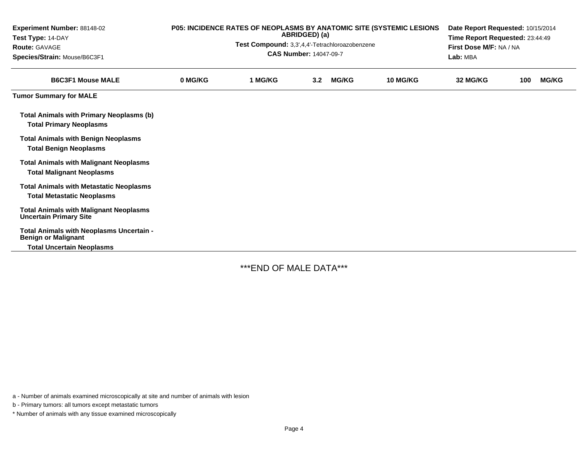| Experiment Number: 88148-02<br>Test Type: 14-DAY<br><b>Route: GAVAGE</b><br>Species/Strain: Mouse/B6C3F1   | P05: INCIDENCE RATES OF NEOPLASMS BY ANATOMIC SITE (SYSTEMIC LESIONS<br>ABRIDGED) (a)<br>Test Compound: 3,3',4,4'-Tetrachloroazobenzene<br><b>CAS Number: 14047-09-7</b> |         |                  |              |          | Date Report Requested: 10/15/2014<br>Time Report Requested: 23:44:49<br>First Dose M/F: NA / NA<br>Lab: MBA |     |              |  |
|------------------------------------------------------------------------------------------------------------|--------------------------------------------------------------------------------------------------------------------------------------------------------------------------|---------|------------------|--------------|----------|-------------------------------------------------------------------------------------------------------------|-----|--------------|--|
| <b>B6C3F1 Mouse MALE</b>                                                                                   | 0 MG/KG                                                                                                                                                                  | 1 MG/KG | 3.2 <sub>2</sub> | <b>MG/KG</b> | 10 MG/KG | 32 MG/KG                                                                                                    | 100 | <b>MG/KG</b> |  |
| <b>Tumor Summary for MALE</b>                                                                              |                                                                                                                                                                          |         |                  |              |          |                                                                                                             |     |              |  |
| <b>Total Animals with Primary Neoplasms (b)</b><br><b>Total Primary Neoplasms</b>                          |                                                                                                                                                                          |         |                  |              |          |                                                                                                             |     |              |  |
| <b>Total Animals with Benign Neoplasms</b><br><b>Total Benign Neoplasms</b>                                |                                                                                                                                                                          |         |                  |              |          |                                                                                                             |     |              |  |
| <b>Total Animals with Malignant Neoplasms</b><br><b>Total Malignant Neoplasms</b>                          |                                                                                                                                                                          |         |                  |              |          |                                                                                                             |     |              |  |
| <b>Total Animals with Metastatic Neoplasms</b><br><b>Total Metastatic Neoplasms</b>                        |                                                                                                                                                                          |         |                  |              |          |                                                                                                             |     |              |  |
| <b>Total Animals with Malignant Neoplasms</b><br><b>Uncertain Primary Site</b>                             |                                                                                                                                                                          |         |                  |              |          |                                                                                                             |     |              |  |
| Total Animals with Neoplasms Uncertain -<br><b>Benign or Malignant</b><br><b>Total Uncertain Neoplasms</b> |                                                                                                                                                                          |         |                  |              |          |                                                                                                             |     |              |  |

\*\*\*END OF MALE DATA\*\*\*

a - Number of animals examined microscopically at site and number of animals with lesion

b - Primary tumors: all tumors except metastatic tumors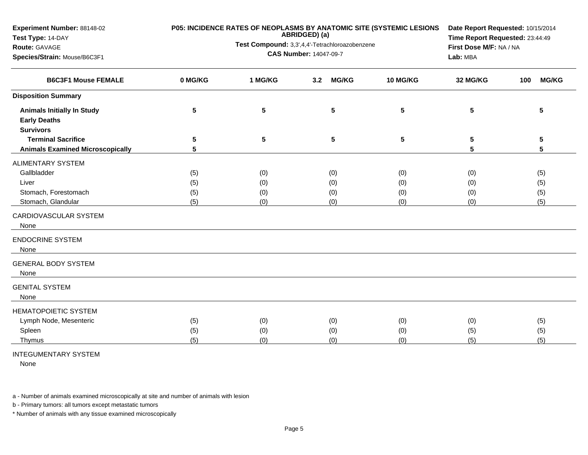| P05: INCIDENCE RATES OF NEOPLASMS BY ANATOMIC SITE (SYSTEMIC LESIONS | Date Report Requested: 10/15/2014<br>Time Report Requested: 23:44:49 |                                     |                                                     |                                                     |                     |
|----------------------------------------------------------------------|----------------------------------------------------------------------|-------------------------------------|-----------------------------------------------------|-----------------------------------------------------|---------------------|
|                                                                      |                                                                      | First Dose M/F: NA / NA<br>Lab: MBA |                                                     |                                                     |                     |
|                                                                      |                                                                      |                                     |                                                     |                                                     |                     |
| 0 MG/KG                                                              | 1 MG/KG                                                              | <b>MG/KG</b><br>3.2                 | <b>10 MG/KG</b>                                     | 32 MG/KG                                            | <b>MG/KG</b><br>100 |
|                                                                      |                                                                      |                                     |                                                     |                                                     |                     |
| 5                                                                    | ${\bf 5}$                                                            | ${\bf 5}$                           | $5\phantom{1}$                                      | 5                                                   | 5                   |
|                                                                      |                                                                      |                                     |                                                     |                                                     |                     |
|                                                                      |                                                                      |                                     |                                                     |                                                     | 5                   |
|                                                                      |                                                                      |                                     |                                                     |                                                     | 5                   |
|                                                                      |                                                                      |                                     |                                                     |                                                     |                     |
| (5)                                                                  | (0)                                                                  | (0)                                 | (0)                                                 | (0)                                                 | (5)                 |
| (5)                                                                  | (0)                                                                  | (0)                                 | (0)                                                 | (0)                                                 | (5)                 |
| (5)                                                                  | (0)                                                                  | (0)                                 | (0)                                                 | (0)                                                 | (5)                 |
| (5)                                                                  | (0)                                                                  | (0)                                 | (0)                                                 | (0)                                                 | (5)                 |
|                                                                      |                                                                      |                                     |                                                     |                                                     |                     |
|                                                                      |                                                                      |                                     |                                                     |                                                     |                     |
|                                                                      |                                                                      |                                     |                                                     |                                                     |                     |
|                                                                      |                                                                      |                                     |                                                     |                                                     |                     |
|                                                                      |                                                                      |                                     |                                                     |                                                     |                     |
| (5)                                                                  | (0)                                                                  | (0)                                 | (0)                                                 | (0)                                                 | (5)                 |
| (5)                                                                  | (0)                                                                  | (0)                                 | (0)                                                 | (5)                                                 | (5)                 |
| (5)                                                                  | (0)                                                                  | (0)                                 | (0)                                                 | (5)                                                 | (5)                 |
|                                                                      | 5<br>5                                                               | 5                                   | ABRIDGED) (a)<br><b>CAS Number: 14047-09-7</b><br>5 | Test Compound: 3,3',4,4'-Tetrachloroazobenzene<br>5 | 5<br>5              |

## INTEGUMENTARY SYSTEM

None

a - Number of animals examined microscopically at site and number of animals with lesion

b - Primary tumors: all tumors except metastatic tumors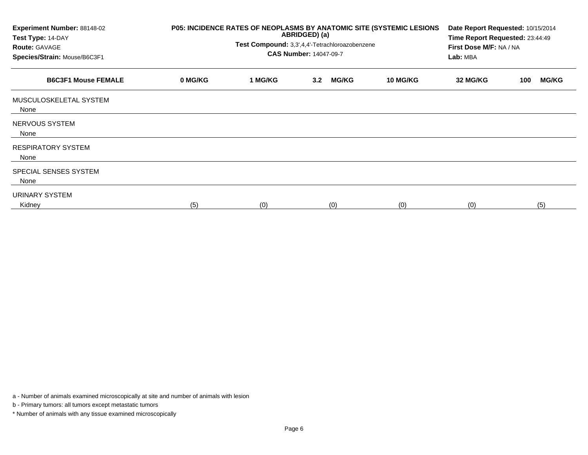| Experiment Number: 88148-02<br>Test Type: 14-DAY<br><b>Route: GAVAGE</b><br>Species/Strain: Mouse/B6C3F1 | P05: INCIDENCE RATES OF NEOPLASMS BY ANATOMIC SITE (SYSTEMIC LESIONS | Date Report Requested: 10/15/2014<br>Time Report Requested: 23:44:49<br>First Dose M/F: NA / NA<br>Lab: MBA |                     |          |          |                     |
|----------------------------------------------------------------------------------------------------------|----------------------------------------------------------------------|-------------------------------------------------------------------------------------------------------------|---------------------|----------|----------|---------------------|
| <b>B6C3F1 Mouse FEMALE</b>                                                                               | 0 MG/KG                                                              | 1 MG/KG                                                                                                     | <b>MG/KG</b><br>3.2 | 10 MG/KG | 32 MG/KG | <b>MG/KG</b><br>100 |
| MUSCULOSKELETAL SYSTEM<br>None                                                                           |                                                                      |                                                                                                             |                     |          |          |                     |
| NERVOUS SYSTEM<br>None                                                                                   |                                                                      |                                                                                                             |                     |          |          |                     |
| <b>RESPIRATORY SYSTEM</b><br>None                                                                        |                                                                      |                                                                                                             |                     |          |          |                     |
| SPECIAL SENSES SYSTEM<br>None                                                                            |                                                                      |                                                                                                             |                     |          |          |                     |
| URINARY SYSTEM<br>Kidney                                                                                 | (5)                                                                  | (0)                                                                                                         | (0)                 | (0)      | (0)      | (5)                 |

a - Number of animals examined microscopically at site and number of animals with lesion

b - Primary tumors: all tumors except metastatic tumors